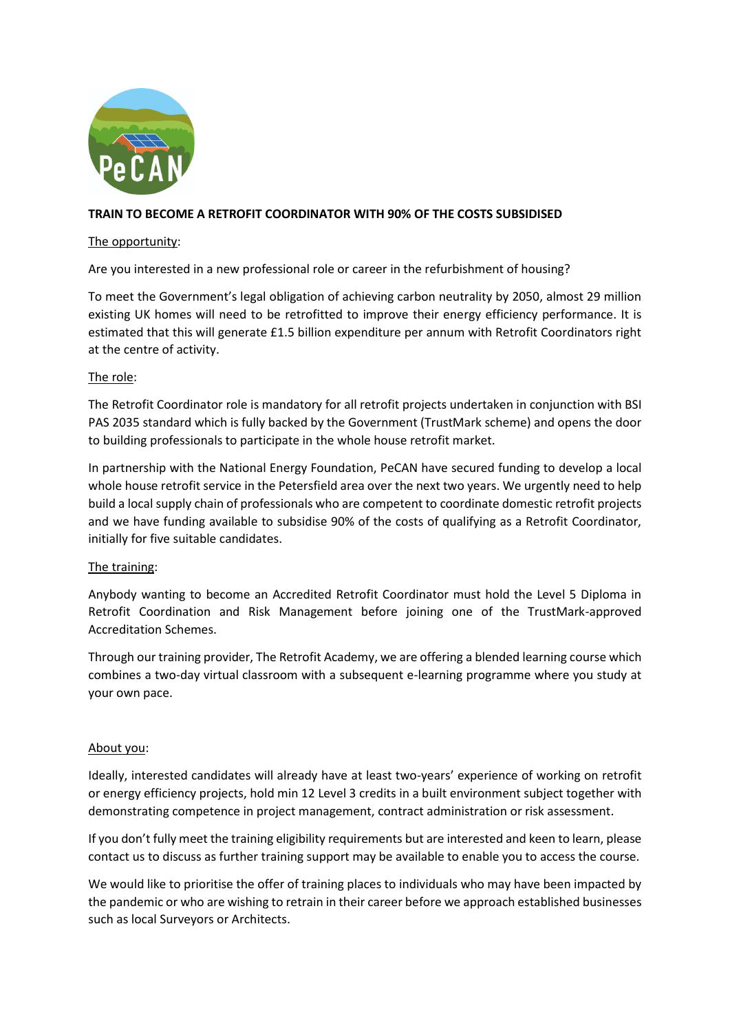

## **TRAIN TO BECOME A RETROFIT COORDINATOR WITH 90% OF THE COSTS SUBSIDISED**

#### The opportunity:

Are you interested in a new professional role or career in the refurbishment of housing?

To meet the Government's legal obligation of achieving carbon neutrality by 2050, almost 29 million existing UK homes will need to be retrofitted to improve their energy efficiency performance. It is estimated that this will generate £1.5 billion expenditure per annum with Retrofit Coordinators right at the centre of activity.

### The role:

The Retrofit Coordinator role is mandatory for all retrofit projects undertaken in conjunction with BSI PAS 2035 standard which is fully backed by the Government (TrustMark scheme) and opens the door to building professionals to participate in the whole house retrofit market.

In partnership with the National Energy Foundation, PeCAN have secured funding to develop a local whole house retrofit service in the Petersfield area over the next two years. We urgently need to help build a local supply chain of professionals who are competent to coordinate domestic retrofit projects and we have funding available to subsidise 90% of the costs of qualifying as a Retrofit Coordinator, initially for five suitable candidates.

# The training:

Anybody wanting to become an Accredited Retrofit Coordinator must hold the Level 5 Diploma in Retrofit Coordination and Risk Management before joining one of the TrustMark-approved Accreditation Schemes.

Through our training provider, The Retrofit Academy, we are offering a blended learning course which combines a two-day virtual classroom with a subsequent e-learning programme where you study at your own pace.

#### About you:

Ideally, interested candidates will already have at least two-years' experience of working on retrofit or energy efficiency projects, hold min 12 Level 3 credits in a built environment subject together with demonstrating competence in project management, contract administration or risk assessment.

If you don't fully meet the training eligibility requirements but are interested and keen to learn, please contact us to discuss as further training support may be available to enable you to access the course.

We would like to prioritise the offer of training places to individuals who may have been impacted by the pandemic or who are wishing to retrain in their career before we approach established businesses such as local Surveyors or Architects.